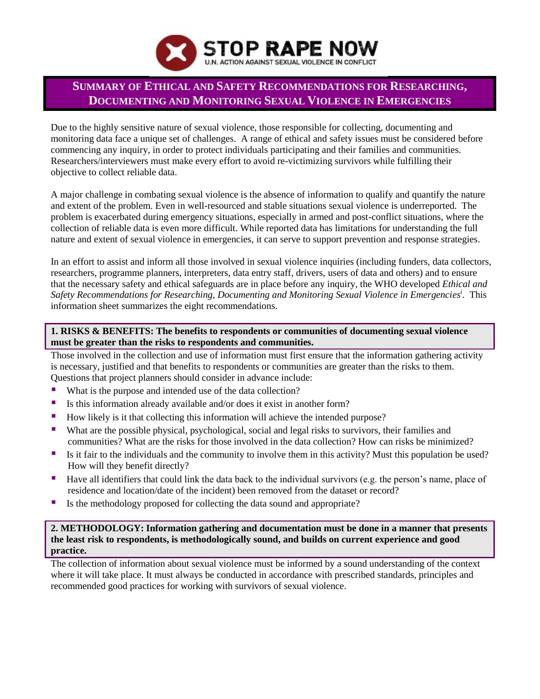

# **SUMMARY OF ETHICAL AND SAFETY RECOMMENDATIONS FOR RESEARCHING, DOCUMENTING AND MONITORING SEXUAL VIOLENCE IN EMERGENCIES**

Due to the highly sensitive nature of sexual violence, those responsible for collecting, documenting and monitoring data face a unique set of challenges. A range of ethical and safety issues must be considered before commencing any inquiry, in order to protect individuals participating and their families and communities. Researchers/interviewers must make every effort to avoid re-victimizing survivors while fulfilling their objective to collect reliable data.

A major challenge in combating sexual violence is the absence of information to qualify and quantify the nature and extent of the problem. Even in well-resourced and stable situations sexual violence is underreported. The problem is exacerbated during emergency situations, especially in armed and post-conflict situations, where the collection of reliable data is even more difficult. While reported data has limitations for understanding the full nature and extent of sexual violence in emergencies, it can serve to support prevention and response strategies.

In an effort to assist and inform all those involved in sexual violence inquiries (including funders, data collectors, researchers, programme planners, interpreters, data entry staff, drivers, users of data and others) and to ensure that the necessary safety and ethical safeguards are in place before any inquiry, the WHO developed *Ethical and Safety Recommendations for Researching, Documenting and Monitoring Sexual Violence in Emergencies i* . This information sheet summarizes the eight recommendations.

# **1. RISKS & BENEFITS: The benefits to respondents or communities of documenting sexual violence must be greater than the risks to respondents and communities.**

Those involved in the collection and use of information must first ensure that the information gathering activity is necessary, justified and that benefits to respondents or communities are greater than the risks to them. Questions that project planners should consider in advance include:

- What is the purpose and intended use of the data collection?
- Is this information already available and/or does it exist in another form?
- How likely is it that collecting this information will achieve the intended purpose?
- What are the possible physical, psychological, social and legal risks to survivors, their families and communities? What are the risks for those involved in the data collection? How can risks be minimized?
- Is it fair to the individuals and the community to involve them in this activity? Must this population be used? How will they benefit directly?
- Have all identifiers that could link the data back to the individual survivors (e.g. the person's name, place of residence and location/date of the incident) been removed from the dataset or record?
- Is the methodology proposed for collecting the data sound and appropriate?

## **2. METHODOLOGY: Information gathering and documentation must be done in a manner that presents the least risk to respondents, is methodologically sound, and builds on current experience and good practice.**

The collection of information about sexual violence must be informed by a sound understanding of the context where it will take place. It must always be conducted in accordance with prescribed standards, principles and recommended good practices for working with survivors of sexual violence.